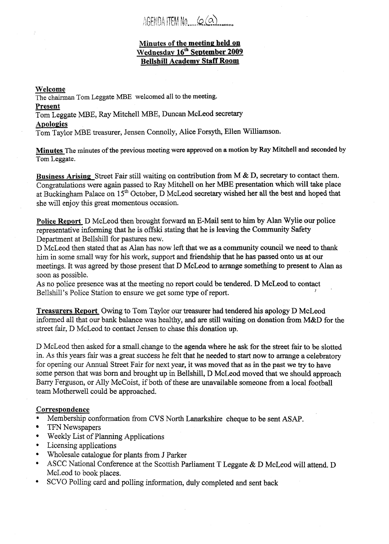AGENDALITEM No  $\omega(\alpha)$ 

## **Minutes of the meeting held on Wednesday 16<sup>th</sup> September 2009 Bellshill Academv Staff Room**

#### **Welcome**

The chairman Tom Leggate NBE welcomed all to the meeting.

**Present** 

Tom Leggate MBE, Ray Mitchell MBE, Duncan McLeod secretary

Apologies

Tom Taylor MBE treasurer, Jensen Connolly, Alice Forsyth, Ellen Williamson.

**Minutes** The minutes of the previous meeting were approved on **a** motion **by** Ray Mitchell and seconded by Tom Leggate.

**Business Arising** Street Fair still waiting on contribution from M & D, secretary to contact them. Congratulations were again passed to Ray Mitchell on her **MBE** presentation which will take place at Buckingham Palace on 15<sup>th</sup> October, D McLeod secretary wished her all the best and hoped that she will enjoy this great momentous occasion.

**Police Report** D McLeod then brought forward an E-Mail sent to him **by Alan** Wylie **our** police representative informing that he is offski stating that he is leaving the Community Safety Department at Bellshill for pastures new.

D McLeod then stated that as Alan has now left that we **as** a community council we need to *thank*  him in some small way for his work, support and friendship that he has passed onto us at our meetings. It was agreed by those present that D McLeod to arrange something to present to Alan **as**  soon as possible.

**As** no police presence was at the meeting no report could be tendered. D McLeod to contact Bellshill's Police Station to ensure we get some type of report.

**Treasurers Report** Owing to Tom Taylor our treasurer had tendered his apology D McLeod informed all that our bank balance was healthy, and are still waiting on donation from M&D for the street fair, D McLeod to contact Jensen to chase this donation up.

D McLeod then asked for a small change to the agenda where he ask for the street fair to be slotted in. As this years fair was a great success he felt that he needed to start now to arrange a celebratory for opening our Annual Street Fair for next year, it was **moved** that as in the past we **try** to have some person that was born and brought up in Bellshill, D McLeod moved that we should approach Barry Ferguson, or Ally McCoist, if both of these are unavailable someone from a local football team Motherwell could be approached.

## **Correspondence**

- *<sup>0</sup>*Membership conformation from CVS North Lanarkshire cheque to be sent **ASAP.**
- $\bullet$ TFN Newspapers
- *<sup>0</sup>*Weekly List of Planning Applications
- \* Licensing applications
- *<sup>0</sup>*Wholesale catalogue for plants from J Parker
- ASCC National Conference at the Scottish Parliament T Leggate & D McLeod will attend. D McLeod to book places.
- *0* SCVO Polling card **and** polling information, duly completed and sent back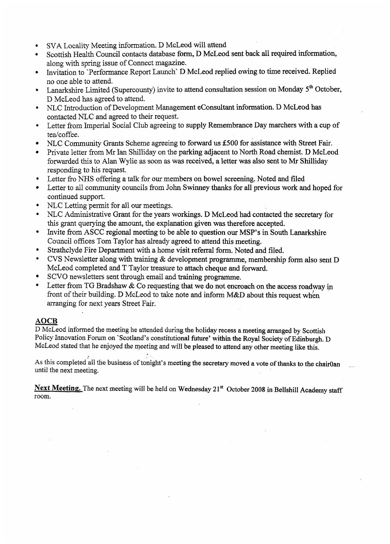- \* SVA Locality Meeting information. D McLeod will attend
- \* Scottish Health Council contacts database form, D McLeod sent back all required information, along with spring issue of Connect magazine.
- **e**  hvitation to 'Perfonnance Report Launch D McLeod replied owing to time received. Replied no one able to attend.
- **e**  Lanarkshire Limited (Supercounty) invite to attend consultation session on Monday 5<sup>th</sup> October, D McLeod has agreed to attend.
- **e**  NLC Introduction of Development Management econsultant information. D McLeod has contacted NLC and agreed to their request.
- **e**  Letter from Imperial Social Club agreeing to supply Remembrance Day marchers with a cup of tea/coffee.
- NLC community Grants Scheme agreeing to forward us **\$500** for assistance with Street Fair.  $\bullet$
- Private letter from Mr Ian Shilliday on the parking adjacent to North Road chemist. D McLeod forwarded this to Alan Wylie as soon as was received, a letter was also sent to Mr Shilliday responding to his request.
- *0*  Letter fro NHS offering a talk for our members on bowel screening. Noted and filed
- $\bullet$ Letter to all community councils from John SWinney thanks for all previous work and hoped for continued support.
- **e**  NLC Letting permit for all our meetings.
- **e**  NLC Administrative Grant for the years workings. D McLeod had contacted the secretary **for**  this grant querying the amount, the explanation given was therefore accepted.
- **e**  Invite from **ASCC** regional meeting to be able to question our MSP's in South Lanarkshire Council offices Tom Taylor has already agreed to attend this meeting.
- *0*  Strathclyde Fire Department with a home visit referral form. Noted and filed.
- **e**  CVS Newsletter along with training & development programme, membership form also sent D McLeod completed and T Taylor treasure to attach cheque and forward,
- SCVO newsletters sent through email and training programme.
- **e**  Letter from TG Bradshaw  $&$  Co requesting that we do not encroach on the access roadway in front of their building. D McLeod to take note and inform M&D about this request when arranging for next years Street Fair. CVS Newsler<br>
McLeod com<br>
SCVO news<br>
Letter from<br>
front of their<br>
arranging for<br>
AOCB<br>
D McLeod inform<br>
Policy Innovation

# **AOCB**

D McLeod informed the meeting he attended during the holiday recess a meeting arranged **by** Scottish Policy Innovation Forum on 'Scotland's constitutional future' within the Royal Society of Edinburgh. D McLeod stated that he enjoyed the meeting and will **be** pleased to **attend** any other meeting like this.

As this completed all the business of tonight's meeting the secretary moved a vote of thanks to the chairOan until the next meeting.

Next Meeting. The next meeting will be held on Wednesday 21<sup>st</sup> October 2008 in Bellshill Academy staff room.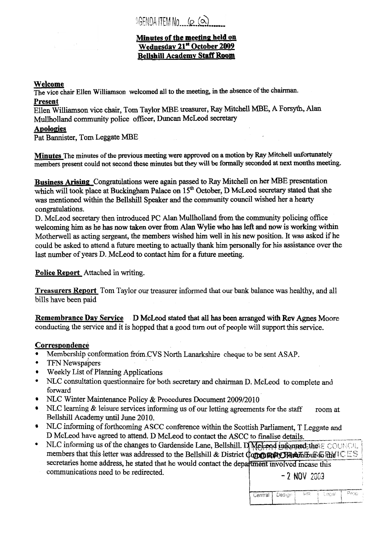1GENDALTEM No  $(0, 0)$ 

# **Minutes of the meeting held on Wednesdav 21" October 2009 Bellshill Academy Staff Room**

# **Welcome**

The vice chair Ellen Williamson welcomed all to the meeting, in **the** absence of the chairman.

# **Present**

Ellen Williamson vice chair, Tom Taylor **MBE treasurer,** Ray Mitchell **MBE, A** Forsyth, Alan Mullholland community police officer, Duncan McLeod secretary

# **Apolomies**

Pat Bannister, Tom Leggate **MBE** 

**Minutes** The minutes **of the preyious meeting** were approved on a **motion by** Ray **Mitchell** unfortunately members present could not second these **minutes** but **they** will be **formally seconded** at next **months meeting.** 

**Business Arising** Congratulations were again passed to Ray Mitchell on her **MBE** presentation which will took place at Buckingham Palace on 15<sup>th</sup> October, D McLeod secretary stated that she was mentioned within the Bellshill Speaker and the community council wished her a hearty congratulations.

D. McLeod secretary then introduced **PC Alan** Mullholland from the community policing office welcoming him **as he has** now taken over **fiom** *Alan* Wylie **who** has left **and now is working within**  Motherwell **as** acting sergeant, the members wished him well in his new position. It was **asked** if he could be asked to attend a future meeting to actually **thank** bim personally for **his** assistance over the last number **of** years **D.** McLeod **to** contact him for a future meeting.

# **Police Report** Attached in writing,

**Treasurers Report** Tom Taylor our treasurer informed that our bank balance was healthy, and all bills have been paid

**Remembrance Day Service**  D McLeod stated that **all** has **been** arranged with Rev Apes Moore conducting the service and it is hopped that a good turn **out** of people will support this service.

# **Correspondence**

- Membership conformation from **CVS** North Lanarkshire cheque to be sent ASAP.
- \* TFN Newspapers
- Weekly List of Planning Applications  $\bullet$
- NLC consultation questionnaire for both secretary and chairman D. McLeod to complete and forward
- NLC Winter Maintenance Policy & Procedures Document 2009/20 **10**
- NLC learning & leisure services informing us of our letting agreements for the **staff** room at Bellshill Academy until June 2010.
- NLC informing of forthcoming ASCC conference within the Scottish Parliament, T Leggate and D McLeod have agreed to attend. D McLeod to contact the **ASCC** to finalise details.
- **•** NLC informing us of the changes to Gardenside Lane, Bellshill. D Melcod informed the ECOUNCIL members that this letter was addressed to the Bellshill & District Community Relations to the ICES secretaries home address, he stated that he would contact the department involved incase this communications need to be redirected.

 $-2$  NOV 2003

|  | Central   Design | 된다 | , ଉଠୁ ଅ | - ലക്ക |
|--|------------------|----|---------|--------|
|  |                  |    |         |        |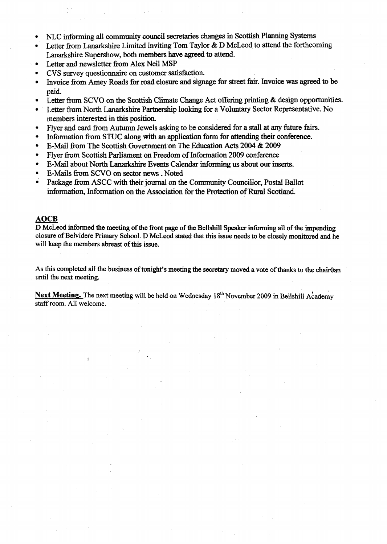- NLC **Morming** all community council secretaries changes in *sconish* Planning Systems  $\bullet$
- **Letter** fiom Lanarkshire **Limited** inviting Tom Taylor & D McLeod to attend the forthcoming Lanarkshire Supershow, both members have agreed to attend.
- Letter and newsletter **from** Alex Neil **MSP**
- CVS survey questionnaire on **customer** satisfaction.
- Invoice from hey Roads for **road** closure and signage for street fair. Invoice was **agreed** to be paid.
- Letter from SCVO on the Scottish Climate Change Act offering **printing** & design opportunities.
- Letter hm North Lanarkshire **Partnaship** looking for a **Voluntary** Sector Representative. **No**  members interested in this position.
- Flyer and card fiom Autumn Jewels **asking** to be considered for a stall at **any** future fairs.
- Information from STUC along with an application form for attending their conference.
- E-Mail fiorn The Scottish Government on The **Education** Acts 2004 & 2009  $\bullet$
- Flyer from Scottish Parliament on Freedom of Information 2009 conference
- E-Mail about North Lanarkshire **Events** Calendar **informing** us about **our** inserts.
- E-Mails **from SCVO on** sector news . Noted
- Package from ASCC with their journal on the *Community Councillor*, Postal Ballot information, information on the Association for the Protection of Rural Scotland. Fiver from S<br>
E-Mail abou<br>
E-Mails from<br>
Package from<br>
information,<br>
<u>AOCB</u><br>
D McLeod inform<br>
closure of Belvide

**D McLeod informed the meeting of the front page of** *the* **Beilshill Speaker informing all of the impending closure of Belvidere Primary School. D McLeod stated that this issue needs to be closely monitored and he will keep the members abreast of this issue.** 

**As this completed all the business of tonight's meeting the secretary moved a vote of thanks to the chairOan until the next meeting.** 

**Next Meeting.** The next meeting will be held on Wednesday  $18<sup>th</sup>$  November 2009 in Bellshill Academy staff room. **All welcome.**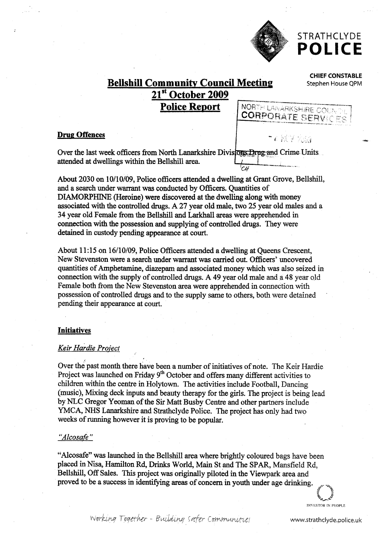

# STRATHCLYDE **POLICE**

**CHIEF CONSTABLE** 

# **Bellshill Community Council Meeting** Stephen House QPM **21st October 2009 Police Report**  NORTH LANARKSHIRE COL **CORPORATE SERVIC**

#### **Drug Offences**

mate of the *CH*<br>
C<sub>CH</sub><br>
C<sub>CH</sub><br>
C<sub>H</sub> **--=-"II\_.\_** - Over the last week officers **fiom North** Lanarkshire Divis attended at dwellings within the Bellshill area

About 2030 on 10/10/09, Police officers attended a dwelling at Orant Grove, Bellshill, and a search under wanrant was conducted by **Officers.** Quantities of **DIAMORPHINE** (Heroine) were discovered at the dwelling **along with money**  associated with the controlled drugs. A 27 year old male, two 25 year old males and a **34** year old Female fiom the Bellshill and Larkhall areas were apprehended in connection with the possession and supplying **of** controlled drugs. They were detained in custody pending appearance at **court.** 

About 11:15 on 16/10/09, Police Officers attended a dwelling at Queens Crescent, New Stevenston were a search under warrant was carried out. Officers' uncovered quantities **of** Amphetamine, diazepam and associated money which **was** also seized *in*  connection with the supply of controlled drugs. A 49 year old male and a **48** year old Female both fiom the New Stevenston area were apprehended in connection with possession of controlled drugs and to the supply same to others, both were detained pending their appearance at court.

## **Initiatives**

#### *Keir Hardie Project*

Over the past month there have been a number of initiatives of note. The Keir Hardie Project was launched on Friday 9<sup>th</sup> October and offers many different activities to children within the centre in Holytown. The activities include Football, Dancing (music), Mixing deck inputs and beauty therapy for the girls. The project is being lead by NLC Gregor Yeoman **of** the Sir **Matt** Busby Centre and other partners include **YMCA, NHS** Lanarkshire and Strathclyde Police. The project has only had *two*  weeks **of** running however it is proving to be popular.

#### *"Alcosafe* "

"Alcosafe" was launched in the Bellshill area where brightly coloured bags have been placed in Nisa, Hamilton Rd, Drinks World, Main St and The SPAR, Mansfield Rd, Bellshill, **Off** Sales. This project was originally piloted in the Viewpark area and proved to be a success in identifying areas of concern in youth under age drinking.

> س<br>بران<br>المصري **INVESTOR IN PROPLE**

working Together - Building safer Communities www.strathclyde.police.uk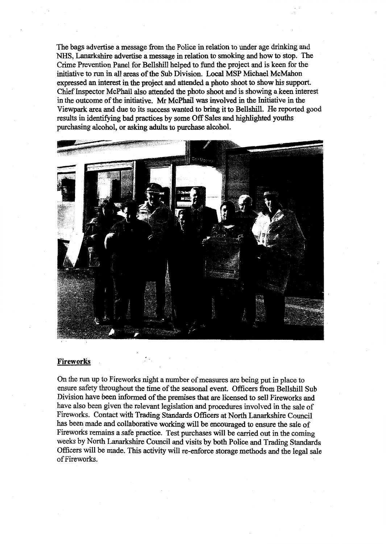The bags advertise a message fiom the Police in relation to under age drinking **and NHS,** Lanarkshire advertise a message in relation to smoking and **how** to stop. **The**  Crime Prevention Panel for Bellshill helped to fund the project and is keen for **the**  initiative to run in all areas of the Sub Division. **Local MSP** Michael McMahon expressed **an interest** in the **project** and attended **a photo shoot** to **show his** support. Chief Inspector McPhail also attended the photo shoot and is **showing a** keen interest **in** the outcome of the initiative. **Mr** McPhail was involved in the Initiative in the Viewpark area and due to its success wanted to bring **it to** Bellshill. He reported good results in identifying bad practices by some Off Sales and highlighted youths purchasing alcohol, or **asking adults** to **purchase alcohol.** 



#### **Fireworks**

On the run **up** to Fireworks **night** a **number of** measures are being put in place **to**  ensure safety throughout the time of the **seasonal** event. Officers **fiom** Bellshill Sub Division have **been** informed of the **premises** that are **licensed** to **sell** Fireworks and have also been given the relevant legislation and procedures involved in the sale of Fireworks. Contact with Trading Standards Officers at North Lanarkshire Council **has** been made and collaborative working will be encouraged to ensure the sale of Fireworks remains a safe practice. Test purchases will be carried out in the coming weeks by North Lanarkshire Council **and** visits by **both** Police and **Trading** Standards Officers will be made. **This** activity will re-enforce storage methods and the legal sale of Fireworks.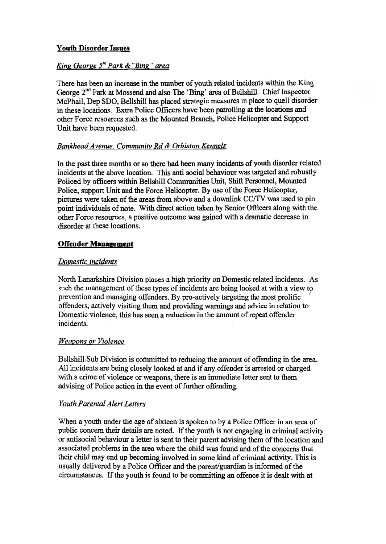# **Youth Disorder Issues**

# *King George 5'Park &"Bing" area*

There **has** been **an** increase in the number **of youth** related incidents within the **King**  George **2"d** Park at Mossend and also The **'Bing' area of** Bellsu. Chief Inspector McPhail, Dep SDO, Bellshill has placed strategic measures in place to quell disorder in these locations. **Extra** Police Officers have **been** patrollimg at **the** locations and other Force resources such **as** the Mounted Branch, Police Helicopter and Support Unit have been requested.

# *Bankhead Avenue, Communiht Rd* & *Orbiston Kennels*

In the past three months or so there had been many incidents of youth disorder related incidents at the above location. **This anti** social behaviour was targeted and robustly Policed by officers within Bellshill Cornunities **Unit,** Shift Personnel, Mounted Police, support Unit and the Force Helicopter. **By** use **of** the Force Helicopter, pictures were taken of the areas **fiom** above and a downlink **CC/TV was** used to pin point individuals of **note. With** direct action taken by Senior Officers **along** with the other Force resources, a positive outcome was gained with a dramatic decrease in disorder at these locations.

# **Offender Management**

# *Domestic incidents*

North Lanarkshire Division places a **high** priority on Domestic related incidents. **As**  such the management of these types of incidents are **being** looked at with a view to prevention and managing offenders. By pro-actively targeting the most prolific offenders, actively visiting them and providing **warnings** and advice in relation to Domestic violence, this has seen **a** reduction in the amount of repeat offender incidents. *I* 

# *Weapons or Violence*

Bellshill.Sub Division is committed to reducing the amount of offending in the area. All incidents are being closely looked at **and** if any offender is arrested or charged with a crime of violence or weapons, there is an immediate letter sent to them advising of Police action in the event of further offending.

# *Youth Parental Alert Letters*

When a youth under the age **of** sixteen is spoken to by a Police **Officer** in **an** area of public concern their details are noted. If the **youth** is not engaging in criminal activity or antisocial behaviour **a** letter is sent to their parent advising them of the location and associated problems in the area where the child was found and of the concerns that their child may end up **becoming** involved in **some** kind **of** criminal activity. This is usually delivered by a Police Officer and the parent/guardian is informed of the circumstances. If the **youth** is found to be committing **an** offence it is dealt with at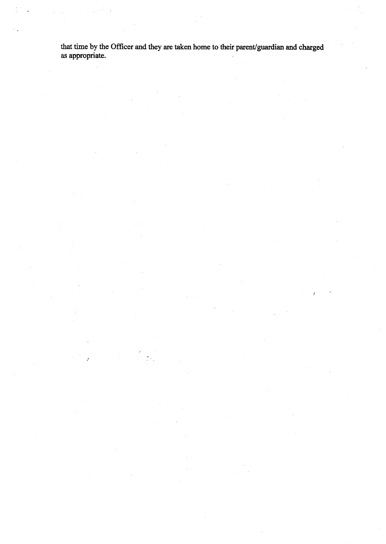**that time by the Officer and they are taken home to** their **paent/guardian and** charged as **appropriate.** 

.<br>2012 - J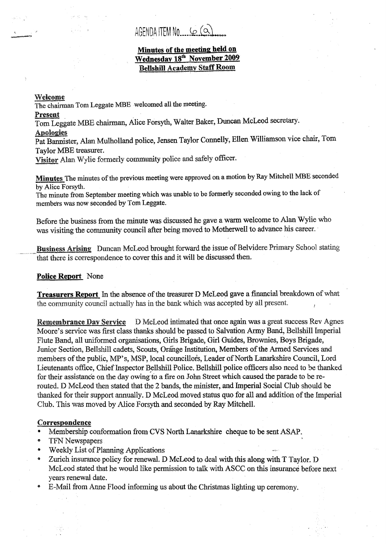# AGENDA ITEM NO. SO (Q)

# **Minutes of the meeting; held on Wednesday 18fh November 2009**

#### **elcsme**

The chairman Tom Leggate MBE welcomed all the meeting.

#### Present

Tom Leggate MBE chairman, Alice Forsyth, Walter Baker, Duncan McLeod secretary. **Apologies** 

Pat Bannister, Alan Mulholland police, Jensen Taylor Connelly, Ellen Williamson vice chair, Tom Tavlor MBE treasurer.

Visitor Alan Wylie formerly community police and safely officer.

**Minutes** The minutes of the previous meeting were approved on a motion by Ray Mitchell MBE seconded by Alice Forsyth.

The minute from September meeting **which** was unable to be formerly secormded owhg to the **lack** of members **was** now seconded **by** Tom Leggate.

Before the business fiom the minute was discussed **he** gave a warm welcome to Man Wylie who was visiting the community council after being moved to Motherwell to advance his career.

Business Arising Duncan McLeod brought forward the issue of Belvidere Primary School stating that there is correspondence to cover this and it will be discussed then.

### **Police Report** None

**Treasurers Report** In the absence of the treasurer D McLeod gave a financial breakdown of what the community council actually has in the bank which was accepted by all present.

Remembrance Day Service D McLeod intimated that once again was a great success Rev Agnes Moore's service was first class thanks should be passed to Salvation Army Band, Bellshill Imperial Flute Band, all uniformed organisations, Girls Brigade, Girl Guides, Brownies, Boys Brigade, Junior Section, Bellshill cadets, Scouts, Orange Institution, Members of the Armed Services and members of the public, MP's, MSP, local councillors, Leader of North Lanarkshire Council, Lord Lieutenants office, Chief Inspector Bellshill Police. Bellshill police officers also need to be thanked for their assistance on the day owing to a fire on John Street which caused the parade to be rerouted. **D** McLeod then stated that the 2 bands, the minister, **and** Imperial Social Club should be thanked for their support annually. D McLeod moved status quo for all and addition of the Imperial Club. This was moved by Alice Forsyth and seconded by Ray Mitchell.

#### Correspondence

- $\bullet$ Membership confornation fiorn **CVS** North Lmabhire cheque **to** be sent **ASAP,**
- TFN Newspapers
- Weekly List of Planning Applications  $\bullet$
- **9**  Zurich insurance policy for renewal. D McLeod to deal with this along with T Taylor. D McLeod stated that he would like permission to talk with ASCC on this insurance before next years renewd date.
- E-Mail from Anne Flood informing us about the Christmas lighting up ceremony.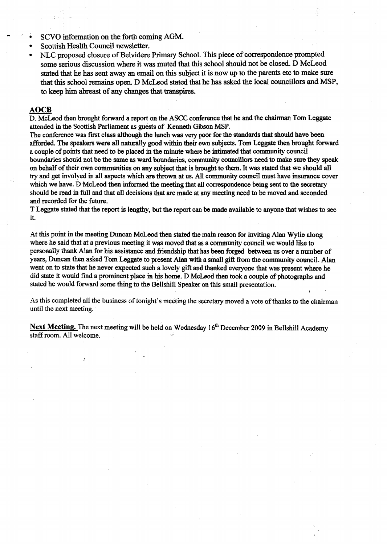- SCVO information on the forth coming AGM.
- Scottish Health Council newsletter.
- *<sup>0</sup>*NLC proposed closure of Belvidere **Primary** School. This piece of correspondence prompted some **serious** discussion where it was muted that this school should not be closed. D McLeod stated that he **has** sent away **an** email on **this** subject it is now up to the parents etc to make sure that this school remains **open.** D McLeod *stated* **that** he **has** *asked* the local councillors **and** MSP, to keep him abreast of **any changes** that **transpires.**  • NLC propose<br>
some serious<br>
stated that he<br>
that this school<br>
to keep him<br>
AOCB<br>
D. McLeod then b<br>
attended in the Sc

D. McLeod then brought forward a report on the ASCC conference that he and the chairman Tom Leggate attended in the Scottish Parliament **as** guests of Kenneth Gibson **MSP.** 

The conference was first class although the lunch **was** very poor for the standards that should have **been**  afforded. The speakers were all naturally good within their **own** subjects. Tom Leggate then brought forward a couple of points that need to be placed in the minute where he *intimated* that community council boundaries should not be the same **as** ward **boundaries,** community c~uncillors **need** to make sure **they** speak on behalf of their **own** communities on any subject **that** is brought to them. It was stated that we should all **try** and get involved in all **aspects** which **are thrown** at us. All community council must have **insuranw** cover which we have. D McLeod then informed the meeting that all correspondence being sent to the secretary should be read in full and that all decisions that are made at **any** meeting **need** to be moved and seconded and recorded for the future.

T Leggate stated that the **report** is lengthy, but the report can be made available to anyone that wishes to see it.

At this point in the meeting Duncan McLeod then stated the main reason for inviting Alan Wylie along where he said that at a previous meeting it was moved that **as** a community council we would like **to**  personally thank Alan for his assistance and friendship that has **been forged between** us over a number of *years, Duncan then asked Tom Leggate to present Alan with a small gift from the community council. Alan* went on to state that he never expected such a lovely gift and **thanked** everyone that was present where he did state it would find a prominent place in his home. D McLeod then took a couple of photographs and stated he would forward some thing to the Bellshill Speaker on this small presentation.

As this completed ail the business of tonight's meeting the secretary moved a vote of thanks to the chairman until the next meeting.

*t* 

Next Meeting. The next meeting will be held on Wednesday 16<sup>th</sup> December 2009 in Bellshill Academy staff room. AI1 welcome.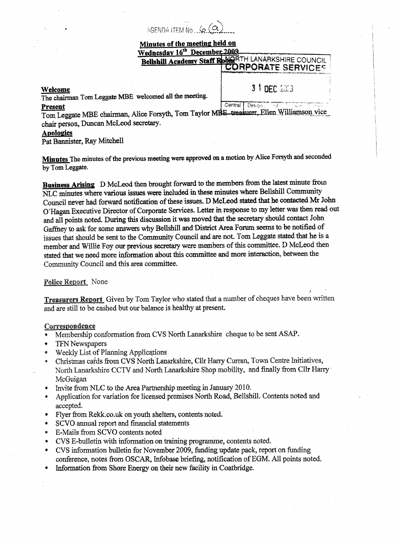AGENDA ITEM No.  $6$  (a)

# Minutes of the meeting held on Wednesday 16th December 2009

Bellshill Academy Staff RobigRTH LANARKSHIRE COUNCIL **CORPORATE SERVICES** 

#### **Welcome**

**3 1 DEC 2003** 

*<sup>I</sup>'* 

# The chairinan Tom **Leggate MBE welcomed** all **the meeting.**

Central Desion Present Tom Leggate MBE chairman, Alice Forsyth, Tom Taylor MBE treasurer, Ellen Williamson vice chair person, Duncan McLeod secretary,

# **Apologies**

Pat **Bannister,** Ray Mitchell

**Minutes The minutes** of **the previous meeting were approved on a motion by Alice** Forsyth **and seconded by** Tom Leggate.

**Business Arising** D McLeod then brought forward to the members from the latest minute from NLC **minutes** where **various issues were included** in **these** minutes where Bellshill Community Council never had forward notification of these issues. D McLeod *stated* **that** he **contacted** *Mr* **John**  O'Hagan Executive Director of Corporate Services. Letter *in* **response** to **my letter was** then **read** out and all points noted. **During** this discussion it **was moved** that **the secretary** should contact John Gaffney to ask for some answers why Bellshill and District Area Forum seems to be notified of issues that should be sent to the Community Council **and are** not. Tom Leggate **stated** that he is **a member and** Willie Foy **OUT previous** secretary **were** members ofthis committee. **D** McLeod **then**  stated that we need more information about this committee and more interaction, between the Community Council and this area committee.

#### Police Report None

**Treasurers Report** Given by Tom Taylor who stated that a number of cheques have been written and are still to be cashed but our bdance is healthy at present.

#### Correspondence

- Membership conformation from CVS North Lanarkshire cheque to be sent ASAP. **P**
- $\bullet$ TFN Newspapers
- *0*  Weekly List of PIamhg **Appfications**
- **a**  Christmas cards from CVS North Lanarkshire, Cllr Harry Curran, Town Centre Initiatives, North Lanarkshire CCTV and North Lanarkshire Shop mobility, and finally from Cllr Harry McGuigan
- **e**  hvite from NLC to **the** Area Parinership meeting in January 20 10.
- **Q**  Application for variation for licensed premises North Road, Bellshill. Contents noted and accepted.
- **e**  Flyer from **[Rekk.co.uk](http://Rekk.co.uk)** on youth shelters, contents notd.
- *0*  **SCVO** annual report and financial statements
- *5*  E-Mails from SCVO contents noted
- *8*  CVS E-bulletin with information on training programme, contents noted.
- *0*  CVS idomiation bulletin for November 2009, **funding** update **pack,** report on fbnding conference, notes **from** *OSCAR,* Infobase briefing, notification of EGM. All points noted.
- **e**  information from Shore Energy on **their new** facility in Coatbridge.